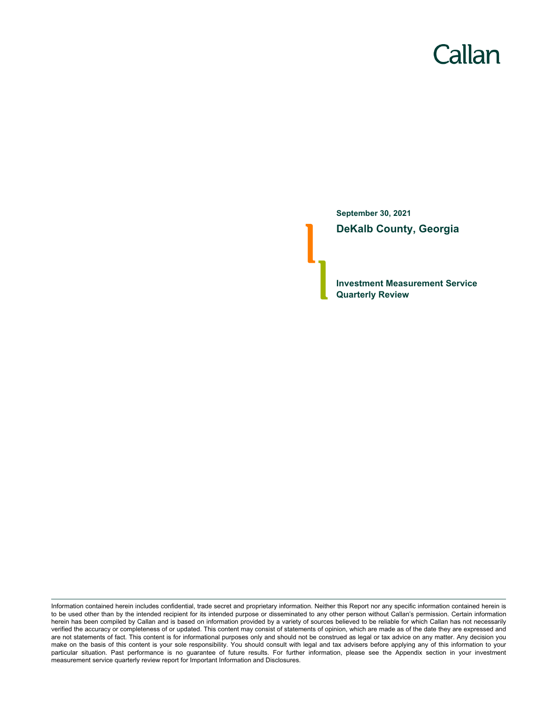# Callan

**September 30, 2021 DeKalb County, Georgia**

**Investment Measurement Service Quarterly Review**

Information contained herein includes confidential, trade secret and proprietary information. Neither this Report nor any specific information contained herein is to be used other than by the intended recipient for its intended purpose or disseminated to any other person without Callan's permission. Certain information herein has been compiled by Callan and is based on information provided by a variety of sources believed to be reliable for which Callan has not necessarily verified the accuracy or completeness of or updated. This content may consist of statements of opinion, which are made as of the date they are expressed and are not statements of fact. This content is for informational purposes only and should not be construed as legal or tax advice on any matter. Any decision you make on the basis of this content is your sole responsibility. You should consult with legal and tax advisers before applying any of this information to your particular situation. Past performance is no guarantee of future results. For further information, please see the Appendix section in your investment measurement service quarterly review report for Important Information and Disclosures.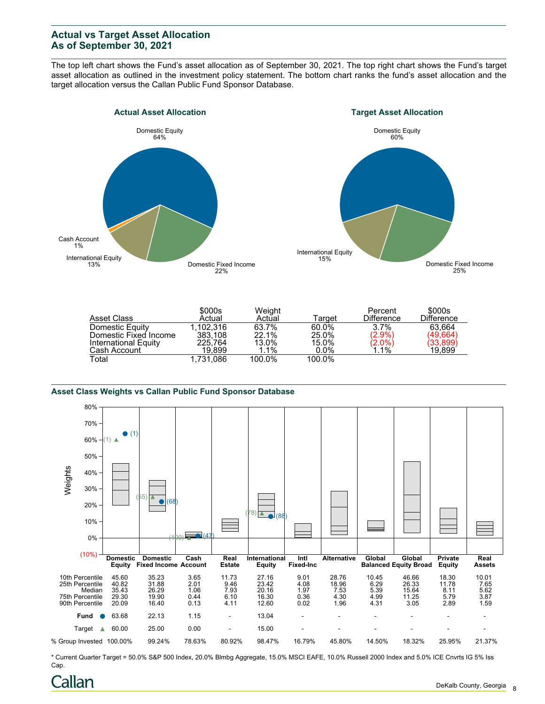# **Actual vs Target Asset Allocation As of September 30, 2021**

The top left chart shows the Fund's asset allocation as of September 30, 2021. The top right chart shows the Fund's target asset allocation as outlined in the investment policy statement. The bottom chart ranks the fund's asset allocation and the target allocation versus the Callan Public Fund Sponsor Database.





|                       | \$000s    | Weight |         | Percent                | \$000s            |
|-----------------------|-----------|--------|---------|------------------------|-------------------|
| Asset Class           | Actual    | Actual | Tarɑet  | <b>Difference</b>      | <b>Difference</b> |
| Domestic Equity       | 1.102.316 | 63.7%  | 60.0%   | 3.7%                   | 63.664            |
| Domestic Fixed Income | 383.108   | 22.1%  | 25.0%   | $(2.9\%)$              | (49.664)          |
| International Equity  | 225,764   | 13.0%  | 15.0%   | $\binom{2.0\%}{1.1\%}$ | (33,899)          |
| Cash Account          | 19.899    | 1.1%   | $0.0\%$ |                        | 19,899            |
| Total                 | 1.731.086 | 100.0% | 100.0%  |                        |                   |

### **Asset Class Weights vs Callan Public Fund Sponsor Database**



\* Current Quarter Target = 50.0% S&P 500 Index, 20.0% Blmbg Aggregate, 15.0% MSCI EAFE, 10.0% Russell 2000 Index and 5.0% ICE Cnvrts IG 5% Iss Cap.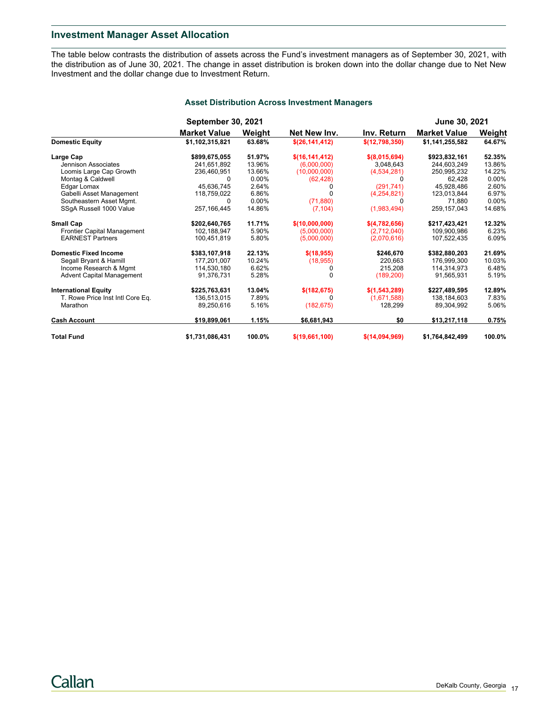## **Investment Manager Asset Allocation**

The table below contrasts the distribution of assets across the Fund's investment managers as of September 30, 2021, with the distribution as of June 30, 2021. The change in asset distribution is broken down into the dollar change due to Net New Investment and the dollar change due to Investment Return.

|                                  | <b>September 30, 2021</b> |          |                  |                 | <b>June 30, 2021</b> |          |
|----------------------------------|---------------------------|----------|------------------|-----------------|----------------------|----------|
|                                  | <b>Market Value</b>       | Weight   | Net New Inv.     | Inv. Return     | <b>Market Value</b>  | Weight   |
| <b>Domestic Equity</b>           | \$1,102,315,821           | 63.68%   | \$(26,141,412)   | \$(12,798,350)  | \$1,141,255,582      | 64.67%   |
| Large Cap                        | \$899,675,055             | 51.97%   | \$(16, 141, 412) | $$$ (8,015,694) | \$923,832,161        | 52.35%   |
| Jennison Associates              | 241,651,892               | 13.96%   | (6,000,000)      | 3,048,643       | 244,603,249          | 13.86%   |
| Loomis Large Cap Growth          | 236,460,951               | 13.66%   | (10,000,000)     | (4,534,281)     | 250,995,232          | 14.22%   |
| Montag & Caldwell                | 0                         | 0.00%    | (62, 428)        |                 | 62,428               | $0.00\%$ |
| Edgar Lomax                      | 45.636.745                | 2.64%    |                  | (291, 741)      | 45,928,486           | 2.60%    |
| Gabelli Asset Management         | 118,759,022               | 6.86%    |                  | (4,254,821)     | 123,013,844          | 6.97%    |
| Southeastern Asset Mgmt.         | 0                         | $0.00\%$ | (71, 880)        | O               | 71.880               | $0.00\%$ |
| SSgA Russell 1000 Value          | 257, 166, 445             | 14.86%   | (7, 104)         | (1,983,494)     | 259,157,043          | 14.68%   |
| <b>Small Cap</b>                 | \$202,640,765             | 11.71%   | \$(10,000,000)   | \$(4,782,656)   | \$217,423,421        | 12.32%   |
| Frontier Capital Management      | 102,188,947               | 5.90%    | (5,000,000)      | (2,712,040)     | 109,900,986          | 6.23%    |
| <b>EARNEST Partners</b>          | 100,451,819               | 5.80%    | (5,000,000)      | (2,070,616)     | 107,522,435          | 6.09%    |
| <b>Domestic Fixed Income</b>     | \$383,107,918             | 22.13%   | \$(18, 955)      | \$246,670       | \$382,880,203        | 21.69%   |
| Segall Bryant & Hamill           | 177,201,007               | 10.24%   | (18, 955)        | 220,663         | 176,999,300          | 10.03%   |
| Income Research & Mgmt           | 114,530,180               | 6.62%    |                  | 215,208         | 114,314,973          | 6.48%    |
| <b>Advent Capital Management</b> | 91,376,731                | 5.28%    |                  | (189, 200)      | 91,565,931           | 5.19%    |
| <b>International Equity</b>      | \$225,763,631             | 13.04%   | \$(182, 675)     | \$(1, 543, 289) | \$227,489,595        | 12.89%   |
| T. Rowe Price Inst Intl Core Eq. | 136,513,015               | 7.89%    |                  | (1,671,588)     | 138,184,603          | 7.83%    |
| Marathon                         | 89,250,616                | 5.16%    | (182, 675)       | 128,299         | 89,304,992           | 5.06%    |
| <b>Cash Account</b>              | \$19,899,061              | 1.15%    | \$6,681,943      | \$0             | \$13,217,118         | 0.75%    |
| <b>Total Fund</b>                | \$1,731,086,431           | 100.0%   | \$(19,661,100)   | \$(14,094,969)  | \$1,764,842,499      | 100.0%   |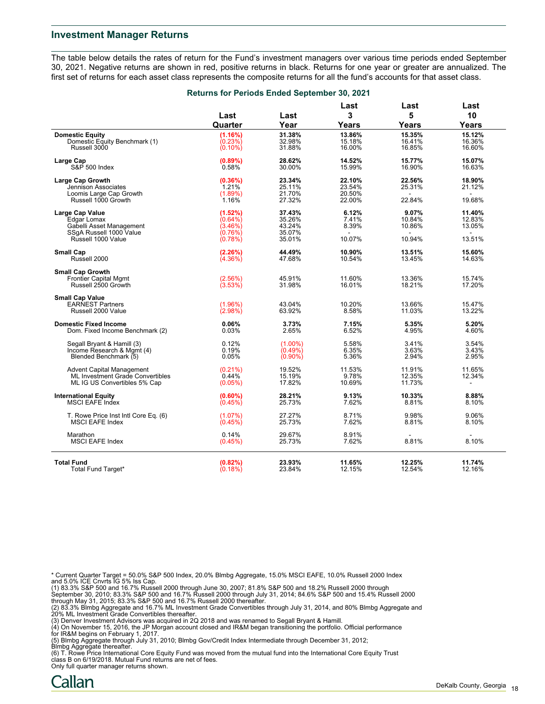## **Investment Manager Returns**

The table below details the rates of return for the Fund's investment managers over various time periods ended September 30, 2021. Negative returns are shown in red, positive returns in black. Returns for one year or greater are annualized. The first set of returns for each asset class represents the composite returns for all the fund's accounts for that asset class.

|                                      | Returns for Periods Ended September 30, 2021 |            |              |              |                |  |
|--------------------------------------|----------------------------------------------|------------|--------------|--------------|----------------|--|
|                                      | Last<br>Quarter                              | Last       | Last<br>3    | Last<br>5    | Last<br>10     |  |
|                                      |                                              | Year       | <b>Years</b> | Years        | Years          |  |
| <b>Domestic Equity</b>               | (1.16%)                                      | 31.38%     | 13.86%       | 15.35%       | 15.12%         |  |
| Domestic Equity Benchmark (1)        | $(0.23\%)$                                   | 32.98%     | 15.18%       | 16.41%       | 16.36%         |  |
| Russell 3000                         | $(0.10\%)$                                   | 31.88%     | 16.00%       | 16.85%       | 16.60%         |  |
|                                      |                                              |            |              |              |                |  |
| Large Cap                            | $(0.89\%)$                                   | 28.62%     | 14.52%       | 15.77%       | 15.07%         |  |
| S&P 500 Index                        | 0.58%                                        | 30.00%     | 15.99%       | 16.90%       | 16.63%         |  |
| Large Cap Growth                     | (0.36%)                                      | 23.34%     | 22.10%       | 22.56%       | 18.90%         |  |
| Jennison Associates                  | 1.21%                                        | 25.11%     | 23.54%       | 25.31%       | 21.12%         |  |
| Loomis Large Cap Growth              | $(1.89\%)$                                   | 21.70%     | 20.50%       | $\mathbf{r}$ | $\sim$         |  |
| Russell 1000 Growth                  | 1.16%                                        | 27.32%     | 22.00%       | 22.84%       | 19.68%         |  |
|                                      |                                              |            |              |              |                |  |
| <b>Large Cap Value</b>               | (1.52%)                                      | 37.43%     | 6.12%        | 9.07%        | 11.40%         |  |
| Edgar Lomax                          | $(0.64\%)$                                   | 35.26%     | 7.41%        | 10.84%       | 12.83%         |  |
| Gabelli Asset Management             | (3.46%)                                      | 43.24%     | 8.39%        | 10.86%       | 13.05%         |  |
| SSqA Russell 1000 Value              | (0.76%)                                      | 35.07%     |              | $\sim$       | $\sim$         |  |
| Russell 1000 Value                   | (0.78%)                                      | 35.01%     | 10.07%       | 10.94%       | 13.51%         |  |
| <b>Small Cap</b>                     | (2.26%)                                      | 44.49%     | 10.90%       | 13.51%       | 15.60%         |  |
| Russell 2000                         | $(4.36\%)$                                   | 47.68%     | 10.54%       | 13.45%       | 14.63%         |  |
|                                      |                                              |            |              |              |                |  |
| <b>Small Cap Growth</b>              |                                              |            |              |              |                |  |
| <b>Frontier Capital Mgmt</b>         | (2.56%)                                      | 45.91%     | 11.60%       | 13.36%       | 15.74%         |  |
| Russell 2500 Growth                  | (3.53%)                                      | 31.98%     | 16.01%       | 18.21%       | 17.20%         |  |
| <b>Small Cap Value</b>               |                                              |            |              |              |                |  |
| <b>EARNEST Partners</b>              | (1.96%)                                      | 43.04%     | 10.20%       | 13.66%       | 15.47%         |  |
| Russell 2000 Value                   | (2.98%)                                      | 63.92%     | 8.58%        | 11.03%       | 13.22%         |  |
|                                      |                                              |            |              |              |                |  |
| <b>Domestic Fixed Income</b>         | 0.06%                                        | 3.73%      | 7.15%        | 5.35%        | 5.20%          |  |
| Dom. Fixed Income Benchmark (2)      | 0.03%                                        | 2.65%      | 6.52%        | 4.95%        | 4.60%          |  |
| Segall Bryant & Hamill (3)           | 0.12%                                        | $(1.00\%)$ | 5.58%        | 3.41%        | 3.54%          |  |
| Income Research & Mgmt (4)           |                                              |            | 6.35%        | 3.63%        | 3.43%          |  |
| Blended Benchmark (5)                | 0.19%                                        | $(0.49\%)$ |              |              |                |  |
|                                      | 0.05%                                        | $(0.90\%)$ | 5.36%        | 2.94%        | 2.95%          |  |
| <b>Advent Capital Management</b>     | $(0.21\%)$                                   | 19.52%     | 11.53%       | 11.91%       | 11.65%         |  |
| ML Investment Grade Convertibles     | 0.44%                                        | 15.19%     | 9.78%        | 12.35%       | 12.34%         |  |
| ML IG US Convertibles 5% Cap         | (0.05%)                                      | 17.82%     | 10.69%       | 11.73%       | $\blacksquare$ |  |
|                                      |                                              |            |              |              |                |  |
| <b>International Equity</b>          | $(0.60\%)$                                   | 28.21%     | 9.13%        | 10.33%       | 8.88%          |  |
| MSCI EAFE Index                      | (0.45%)                                      | 25.73%     | 7.62%        | 8.81%        | 8.10%          |  |
| T. Rowe Price Inst Intl Core Eq. (6) | (1.07%)                                      | 27.27%     | 8.71%        | 9.98%        | 9.06%          |  |
| <b>MSCI EAFE Index</b>               | (0.45%)                                      | 25.73%     | 7.62%        | 8.81%        | 8.10%          |  |
|                                      |                                              |            |              |              |                |  |
| Marathon                             | 0.14%                                        | 29.67%     | 8.91%        |              |                |  |
| <b>MSCI EAFE Index</b>               | (0.45%)                                      | 25.73%     | 7.62%        | 8.81%        | 8.10%          |  |
|                                      |                                              |            |              |              |                |  |
| <b>Total Fund</b>                    | (0.82%)                                      | 23.93%     | 11.65%       | 12.25%       | 11.74%         |  |
| Total Fund Target*                   | $(0.18\%)$                                   | 23.84%     | 12.15%       | 12.54%       | 12.16%         |  |

\* Current Quarter Target = 50.0% S&P 500 Index, 20.0% Blmbg Aggregate, 15.0% MSCI EAFE, 10.0% Russell 2000 Index

and 5.0% ICE Cnvrts IG 5% Iss Cap.<br>(1) 83.3% S&P 500 and 16.7% Russell 2000 through June 30, 2007; 81.8% S&P 500 and 18.2% Russell 2000 through<br>September 30, 2010; 83.3% S&P 500 and 16.7% Russell 2000 through July 31, 2014

(2) 83.3% Blmbg Aggregate and 16.7% ML Investment Grade Convertibles through July 31, 2014, and 80% Blmbg Aggregate and<br>20% ML Investment Grade Convertibles thereafter.<br>(3) Denver Investment Advisors was acquired in 2Q 201

for IR&M begins on February 1, 2017.

(5) Blmbg Aggregate through July 31, 2010; Blmbg Gov/Credit Index Intermediate through December 31, 2012;

Blmbg Aggregate thereafter. (6) T. Rowe Price International Core Equity Fund was moved from the mutual fund into the International Core Equity Trust class B on 6/19/2018. Mutual Fund returns are net of fees.

Only full quarter manager returns shown.

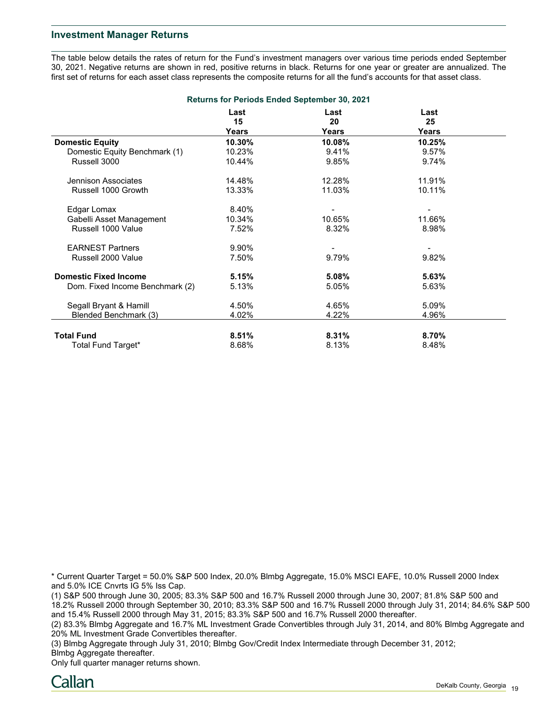## **Investment Manager Returns**

The table below details the rates of return for the Fund's investment managers over various time periods ended September 30, 2021. Negative returns are shown in red, positive returns in black. Returns for one year or greater are annualized. The first set of returns for each asset class represents the composite returns for all the fund's accounts for that asset class.

| <b>Returns for Periods Ended September 30, 2021</b> |            |            |            |  |  |  |  |
|-----------------------------------------------------|------------|------------|------------|--|--|--|--|
|                                                     | Last<br>15 | Last<br>20 | Last<br>25 |  |  |  |  |
|                                                     | Years      | Years      | Years      |  |  |  |  |
| <b>Domestic Equity</b>                              | 10.30%     | 10.08%     | 10.25%     |  |  |  |  |
| Domestic Equity Benchmark (1)                       | 10.23%     | 9.41%      | 9.57%      |  |  |  |  |
| Russell 3000                                        | 10.44%     | 9.85%      | 9.74%      |  |  |  |  |
| Jennison Associates                                 | 14.48%     | 12.28%     | 11.91%     |  |  |  |  |
| Russell 1000 Growth                                 | 13.33%     | 11.03%     | 10.11%     |  |  |  |  |
| Edgar Lomax                                         | 8.40%      |            |            |  |  |  |  |
| Gabelli Asset Management                            | 10.34%     | 10.65%     | 11.66%     |  |  |  |  |
| Russell 1000 Value                                  | 7.52%      | 8.32%      | 8.98%      |  |  |  |  |
| <b>EARNEST Partners</b>                             | 9.90%      |            |            |  |  |  |  |
| Russell 2000 Value                                  | 7.50%      | 9.79%      | 9.82%      |  |  |  |  |
| <b>Domestic Fixed Income</b>                        | 5.15%      | 5.08%      | 5.63%      |  |  |  |  |
| Dom. Fixed Income Benchmark (2)                     | 5.13%      | 5.05%      | 5.63%      |  |  |  |  |
| Segall Bryant & Hamill                              | 4.50%      | 4.65%      | 5.09%      |  |  |  |  |
| Blended Benchmark (3)                               | 4.02%      | 4.22%      | 4.96%      |  |  |  |  |
| <b>Total Fund</b>                                   | 8.51%      | 8.31%      | 8.70%      |  |  |  |  |
| Total Fund Target*                                  | 8.68%      | 8.13%      | 8.48%      |  |  |  |  |

\* Current Quarter Target = 50.0% S&P 500 Index, 20.0% Blmbg Aggregate, 15.0% MSCI EAFE, 10.0% Russell 2000 Index and 5.0% ICE Cnvrts IG 5% Iss Cap.

(1) S&P 500 through June 30, 2005; 83.3% S&P 500 and 16.7% Russell 2000 through June 30, 2007; 81.8% S&P 500 and 18.2% Russell 2000 through September 30, 2010; 83.3% S&P 500 and 16.7% Russell 2000 through July 31, 2014; 84.6% S&P 500 and 15.4% Russell 2000 through May 31, 2015; 83.3% S&P 500 and 16.7% Russell 2000 thereafter.

(2) 83.3% Blmbg Aggregate and 16.7% ML Investment Grade Convertibles through July 31, 2014, and 80% Blmbg Aggregate and 20% ML Investment Grade Convertibles thereafter.

(3) Blmbg Aggregate through July 31, 2010; Blmbg Gov/Credit Index Intermediate through December 31, 2012; Blmbg Aggregate thereafter.

Only full quarter manager returns shown.